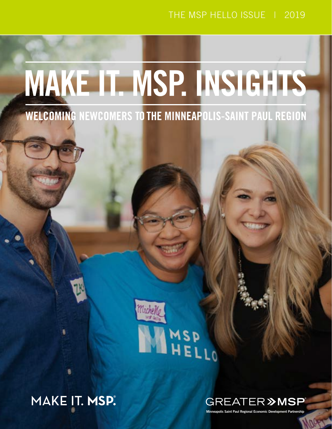# THE MSP HELLO ISSUE | 2019

# MAKE IT. MSP. INSIGHTS

**WELCOMING NEWCOMERS TO THE MINNEAPOLIS-SAINT PAUL REGION** 



MAKE IT. **MSP.**®



Minneapolis Saint Paul Regional Economic Development Partnership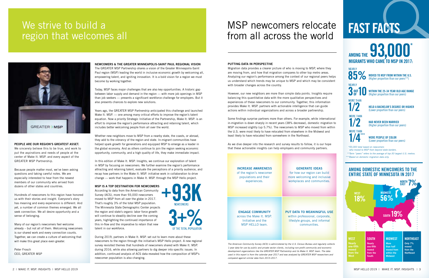NEWCOMERS & THE GREATER MINNEAPOLIS-SAINT PAUL REGIONAL VISION

The GREATER MSP Partnership shares a vision of the Greater Minneapolis-Saint Paul region (MSP) leading the world in inclusive economic growth by welcoming all, empowering talent, and igniting innovation. It is a bold vision for a region we must become by working together.

Today, MSP faces major challenges that are also key opportunities. A historic gap between labor supply and demand in the region — with more job openings in MSP than job seekers — presents a significant workforce challenge for employers. But it also presents chances to explore new solutions.

Years ago, the GREATER MSP Partnership anticipated this challenge and launched Make It. MSP. — one among many critical efforts to improve the region's talent equation. Now a priority Strategic Initiative of the Partnership, Make It. MSP. is an effort to improve the region's performance attracting and retaining talent, which includes better welcoming people from all over the world.

Whether new neighbors move to MSP from a nearby state, the coasts, or abroad, they add to the vibrancy of the region and state. In-migrant communities have helped spark growth for generations and equipped MSP to emerge as a leader in the global economy. And as others continue to join the region seeking economic opportunity, community, and a high quality of life, they make immediate impact.

In this edition of Make It. MSP. Insights, we continue our exploration of talent in MSP by focusing on newcomers. We further examine the region's performance attracting and retaining talent, evaluate the perceptions of a priority audience, and recap how partners in the Make It. MSP. initiative work in collaboration to drive change — work that happens in Make It. MSP. through the MSP Hello project.

### MSP IS A TOP DESTINATION FOR NEWCOMERS

According to data from the American Community Survey (ACS), more than 93,000 newcomers moved to MSP from all over the globe in 2017. That's roughly 3% of the total MSP population. The Minnesota State Demographic Center projects the region and state's organic labor force growth will continue to steadily decline over the coming years, highlighting the continued importance of this in-flow and the imperative to retain that new talent in our workforce.



# We strive to build a region that welcomes all



During 2019, partners in Make It. MSP. set out to learn more about these newcomers to the region through the initiative's MSP Hello project. A new regional survey revisited themes that hundreds of newcomers shared with Make It. MSP. during 2016, while also allowing partners to dig deeper into specific issues. In addition, continued analysis of ACS data revealed how the composition of MSP's newcomer population is also changing.

### PUTTING DATA IN PERSPECTIVE

Migration data provides a clearer picture of who is moving to MSP, where they are moving from, and how that migration compares to other top metro areas. Analyzing our region's performance among the context of our regional peers helps us understand which trends may be unique to MSP and which may be consistent with broader changes across the country.

However, our new neighbors are more than simple data points. Insights require balancing this quantitative data with the more qualitative perspectives and experiences of these newcomers to our community. Together, this information provides Make It. MSP. partners with actionable intelligence that can guide actions within individual organizations and across a broader partnership.

WITHIN THE 25-34 YEAR OLD AGE RANGE (Higher proportion than our peers)

Some findings surprise partners more than others. For example, while international in-migration is down sharply in recent years (38% decrease), domestic migration to MSP increased slightly (up 5.7%). The newcomers to MSP who moved from within the U.S. were most likely to have relocated from elsewhere in the Midwest and least likely to have relocated from somewhere in the Northeast.

As we dive deeper into the research and survey results to follow, it is our hope that these actionable insights can help employers and community partners.

# MSP newcomers relocate from all across the world

*The American Community Survey (ACS) is administered by the U.S. Census Bureau and regularly collects 1-year data for use by public and private sector clients, including non-profit community and economic development organizations like the GREATER MSP Partnership and its Make It. MSP. team. The data used in this report is from the calendar year 2017 and was analyzed by GREATER MSP researchers and compared against similar data from 2015-2017.*

# FAST FACTS

# AMONG THE **93,000**<sup>\*</sup> **MIGRANTS WHO CAME TO MSP IN**



# PEOPLE ARE OUR REGION'S GREATEST ASSET.

We sincerely believe this to be true, and work to put the aspirations and needs of people at the center of Make It. MSP. and every aspect of the GREATER MSP Partnership.

Because people matter most, we've been asking questions and taking careful notes. We are especially interested to hear from the newest members of our community who arrived from dozens of other states and countries.

Hundreds of newcomers to this region have honored us with their stories and insight. Everyone's story has meaning and every experience is different. And yet, a number of common themes emerged. We all seek connection. We all desire opportunity and a sense of belonging.

Many of our region's newcomers feel welcome already – but not all of them. Welcoming newcomers is our shared work and every connection counts. Together, we can create a culture of welcoming that will make this great place even greater.

Peter Frosch CEO, GREATER MSP

INCREASE AWARENESS of the region's newcomer populations and their experiences.

# ENGAGE COMMUNITY across the Make It. MSP.

Initiative and the MSP HELLO team.

# GENERATE IDEAS for how our region can build

more welcoming and inclusive workplaces and communities.

PUT DATA TO MEANINGFUL USE within professional, corporate, lifestyle groups, and informal communities.

# AMONG DOMESTIC NEWCOMERS TO THE ENTIRE STATE OF MINNESOTA IN 2017

MOVED TO MSP FROM WITHIN THE U.S.



**MORF THAN**  $1/2$ 



(Higher proportion than our peers\*\*)

HELD A BACHELOR'S DEGREE OR HIGHER (Lower proportion than our peers)



*\*93,000 total based on newcomers who moved to MSP from beyond state borders. \*\*Term "peers" refers to the average of top-30 largest U.S. metros.*

*\*\*\*Based on domestic migration data only.*

HAD NEVER BEEN MARRIED (Higher proportion than our peers)

WERE PEOPLE OF COLOR (Lower proportion than our peers)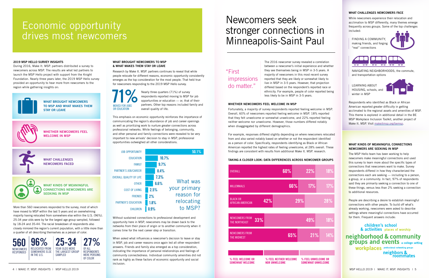The 2016 newcomer survey revealed a correlation between a newcomer's initial experience and whether they see themselves being in MSP in 3-5 years. A majority of newcomers in this most recent survey reported that they are likely or somewhat likely to live in MSP in 3-5 years. However, that projection differed based on the respondent's reported race or ethnicity. For example, people of color reported being less likely to be in MSP in 3-5 years.

# WHETHER NEWCOMERS FEEL WELCOME IN MSP

Fortunately, a majority of survey respondents reported feeling welcome in MSP. Overall, 60% of newcomers reported feeling welcome in MSP. 18% reported that they felt unwelcome or somewhat unwelcome, and 22% reported feeling neither welcome nor unwelcome. However, those numbers differed notably when disaggregated by different demographics.

For example, responses differed slightly depending on where newcomers relocated from and also varied notably based on whether or not the respondent identified as a person of color. Specifically, respondents identifying as Black or African American reported the highest rates of feeling unwelcome, at 28% overall. These findings are consistent with results from additional Make It. MSP. research.

### TAKING A CLOSER LOOK: DATA DIFFERENCES ACROSS NEWCOMER GROUPS

The MSP Hello team has been working to help newcomers make meaningful connections and used this survey to learn more about the specific types of connections that newcomers want to make. Survey respondents differed in how they characterized the connections each are seeking — including to a person, a group, or a community. In fact, 97% of respondents said they are primarily seeking a connection to one of these things, versus less than 2% seeking a connection to additional resources.

### WHAT CHALLENGES NEWCOMERS FACE

While newcomers experience their relocation and acclimation to MSP differently, many themes emerge frequently across groups. Some of the top challenges included:

FINDING A COMMUNITY, making friends, and forging "real" connections





NAVIGATING NEIGHBORHOODS, the commute, and transportation options

LEARNING ABOUT HOUSING, schools, and winter in MSP



Respondents who identified as Black or African American reported greater difficulty in getting acclimated to the regional assets and amenities of MSP. This theme is explored in additional detail in the BE MSP Workplace Inclusion Toolkit, another project of Make It. MSP. Visit [makeitmsp.org/bemsp.](http://www.makeitmsp.org/bemsp/)

# WHAT KINDS OF MEANINGFUL CONNECTIONS NEWCOMERS ARE SEEKING IN MSP

People are describing a desire to establish meaningful connections with other people. To build off what's already working, newcomers were asked to describe settings where meaningful connections have occurred for them. Frequent answers include:

children's school & activities places of worship neighborhood & community **groups and events** a college setting **WOrkplaces** professional networking groups

neighbors &<br>roommates

### 2019 MSP HELLO SURVEY INSIGHTS

During 2016, Make It. MSP. partners distributed a survey to newcomers across MSP. The results are what led partners to launch the MSP Hello project with support from the Knight Foundation. Nearly three years later, the 2019 MSP Hello survey provided an opportunity to hear more from newcomers to the region while gathering insights on:



More than 560 newcomers responded to the survey, most of which have moved to MSP within the last 5 years and an overwhelming majority having relocated from somewhere else within the U.S. (96%). 25-34 year olds were by far the largest age group sampled, followed by 18-24 and 35-44. The racial breakdown of respondents also closely mirrored the region's current population, with a little more than a quarter of all describing themselves as a person of color.

### WHAT BROUGHT NEWCOMERS TO MSP & WHAT MAKES THEM STAY OR LEAVE

Research by Make It. MSP. partners continues to reveal that while people relocate for different reasons, economic opportunity consistently emerges as the top consideration for the most people. That held true for newcomers responding to the 2019 MSP Hello survey.

> Nearly three quarters (71%) of survey respondents reported moving to MSP for job opportunities or education — or, that of their partners. Other top reasons included family and overall quality of life.

This emphasis on economic opportunity reinforces the importance of communicating the region's abundance of job and career openings as well as prioritizing work to nurture greater connections across professional networks. While feelings of belonging, community, and other personal and family connections were revealed to be very important to new arrivals' decision to stay in MSP, professional opportunities outweighed all other considerations.

Without sustained connections to professional development and opportunity here in MSP, newcomers may be drawn back to the networks from their place of origin or to another community when it comes time for the next career step or transition.

When asked what influences a newcomer's decision to leave or stay in MSP, job and career reasons once again led all other respondent answers. Friends and family also emerged as a top consideration, indicating the importance of personal relationships and feelings of community connectedness. Individual community amenities did not rank as highly as these factors of economic opportunity and social inclusion.



# Newcomers seek stronger connections in Minneapolis-Saint Paul

# Economic opportunity drives most newcomers



| <b>JOB OPPORTUNITY</b>         |         | 50.1%        |
|--------------------------------|---------|--------------|
| <b>EDUCATION</b>               | 10.7%   |              |
| <b>FAMILY</b>                  | 9.7%    |              |
| <b>PARTNER'S JOB/CAREER</b>    | 8.4%    |              |
| <b>OVERALL QUALITY OF LIFE</b> | 7.3%    |              |
| <b>OTHER</b>                   | 6.6%    | What was     |
| <b>COST OF LIVING</b>          | 2.5%    | your primary |
| <b>FRIFNDS</b>                 | 2%      | reason for   |
| <b>PARTNER'S EDUCATION</b>     | 1.8%    | relocating   |
| <b>CHILDREN</b>                | $0.9\%$ | to MSP?      |

# WHAT BROUGHT NEWCOMERS TO MSP AND WHAT MAKES THEM STAY OR LEAVE





WHETHER NEWCOMERS FEEL WELCOME IN MSP



WHAT CHALLENGES NEWCOMERS FACED



WHAT KINDS OF MEANINGFUL CONNECTIONS NEWCOMERS ARE SEEKING IN MSP

# "First impressions do matter."

| <b>OVERALL</b>                                | 60%                                            |     | 22%                                              | 18%               |
|-----------------------------------------------|------------------------------------------------|-----|--------------------------------------------------|-------------------|
| <b>MILLENNIALS</b>                            |                                                | 66% | 17%                                              | $\overline{17}\%$ |
| <b>BLACK OR</b><br><b>AFRICAN AMERICAN</b>    | 42%                                            | 29% |                                                  | 28%               |
| <b>NEWCOMERS FROM</b><br>33%<br>THE NORTHEAST |                                                |     | 49%                                              | 18%               |
| <b>NEWCOMERS FROM</b><br>THE MIDWEST          |                                                | 65% | 21%                                              | 14%               |
|                                               |                                                |     |                                                  |                   |
| % FEEL WELCOME OR<br><b>SOMEWHAT WELCOME</b>  | % FEEL NEITHER WELCOME<br><b>NOR UNWELCOME</b> |     | % FEEL UNWELCOME OR<br><b>SOMEWHAT UNWELCOME</b> |                   |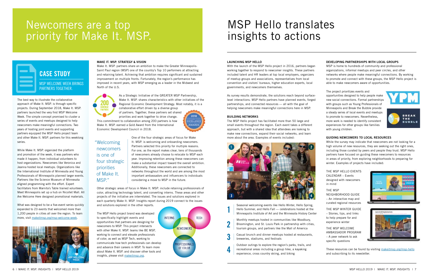### LAUNCHING MSP HELLO

With the launch of the MSP Hello project in 2016, partners began working together to respond to newcomer insights. These partners included talent and HR leaders at top local employers, organizers of meetup groups and associations, representatives from local convention and visitors' bureaus, higher education experts, local governments, and newcomers themselves.

As survey results demonstrate, the solutions reach beyond surfacelevel interactions. MSP Hello partners have planned events, forged partnerships, and connected resources — all with the goal of helping newcomers make meaningful connections here in MSP.

### BUILDING NETWORKS

4

The MSP Hello project has facilitated more than 50 large and small events throughout the region. Each event takes a different approach, but with a shared idea that attendees are looking to make new connections, expand their social networks, and learn more about the area. Examples of events included:



Seasonal welcoming events like Hello Winter, Hello Spring, Hello Summer, and Hello Fall — celebrations hosted at the Minneapolis Institute of Art and the Minnesota History Center

Monthly meetups hosted in communities like Woodbury, Bloomington, and St. Louis Park in partnership with cities, tourism groups, and partners like the Mall of America

Casual brunch and dinner meetups hosted at restaurants, 3 breweries, stadiums, and festivals

Outdoor outings to explore the region's parks, trails, and recreational areas including a group hike, a kayaking experience, cross country skiing, and biking

# DEVELOPING PARTNERSHIPS WITH LOCAL GROUPS

MSP is home to hundreds of community and professional organizations, informal meetups and peer circles, and other networks where people make meaningful connections. By working to promote and connect with these groups, the MSP Hello project is able to make newcomers aware of opportunities.

# The project prioritizes events and

opportunities designed to help people make new social connections. Formal partnerships with groups such as Young Professionals of Minneapolis and Break the Bubble provide a steady series of local events and meetups to promote to newcomers. Nevertheless, more work is needed to identify consistent experiences for other groups like families with young children.





# GUIDING NEWCOMERS TO LOCAL RESOURCES

The MSP Hello project brand was developed to specifically highlight events and opportunities that partners are designing for newcomers to MSP. This project intersects with other Make It. MSP. teams like BE MSP, working to connect and elevate professionals of color, as well as MSP Tech, working to communicate how tech professionals can develop and advance their careers in MSP. To learn more about Make It. MSP. and discover other tools and insights, please visit [makeitmsp.org.](http://makeitmsp.org)



While the survey may indicate that newcomers are not looking for a high volume of new resources, they are seeking out the right ones, including those curated by peers and people they trust. MSP Hello partners have focused on guiding these newcomers to resources in areas of priority, from exploring neighborhoods to preparing for winter. Examples of projects have included:

THE MSP HELLO EVENTS CALENDAR – Events designed with newcomers in mind

THE MSP NEIGHBORHOOD GUIDE – An interactive map and curated regional resources

THE MSP WINTER GUIDE – Stories, tips, and links to help prepare for and experience winter

THE MSP WELCOME AMBASSADOR PROGRAM – A peer network to ask specific questions



These resources can be found by visiting [makeitmsp.org/msp-hello](http://makeitmsp.org/msp-hello) and subscribing to its newsletter.

# MAKE IT. MSP. STRATEGY & VISION

Make It. MSP. partners share an ambition to make the Greater Minneapolis-Saint Paul region (MSP) one of the country's Top 10 performers at attracting and retaining talent. Achieving that ambition requires significant and sustained improvement on multiple fronts. Fortunately, the region's performance has improved in recent years, with MSP emerging as a leader in the Midwest and North of the U.S.



As a Strategic Initiative of the GREATER MSP Partnership, Make It. MSP. shares characteristics with other initiatives of the Regional Economic Development Strategy. Most notably, it is a

collaborative effort driven by a diverse group of partners. Together, these partners set shared priorities and work together to drive change.

This commitment to collaboration among 200 partners is how Make It. MSP. earned a Gold Award from the International Economic Development Council in 2018.



One of the four strategic areas of focus for Make It. MSP. is welcoming and onboarding newcomers. Partners selected this priority for multiple reasons. For one, as the report makes clear, tens of thousands of newcomers already choose to relocate to MSP each year. Improving retention among these newcomers can make a substantial impact toward the overall ambition. Additionally, these newcomers are connected to networks throughout the world and are among the most important ambassadors and influencers to individuals considering a move to MSP in the future.

Other strategic areas of focus in Make It. MSP. include retaining professionals of color, attracting technology talent, and converting interns. These areas and other projects of the initiative are interrelated. The issues and solutions explored in each quarterly Make It. MSP. Insights report during 2019 connect to the issues and solutions explored in the other reports.

# MSP Hello translates insights to actions

# Newcomers are a top priority for Make It. MSP.



The best way to illustrate the collaborative approach of Make It. MSP. is through specific projects. During September 2018, Make It. MSP. partners launched the very first MSP Welcome Week. The simple concept promised to cluster a series of events and meetups designed to help newcomers make meaningful connections. Two years of hosting joint events and supporting partners equipped the MSP Hello project team and other Make It. MSP. partners for this weeklong series.

While Make It. MSP. organized the platform and promotion of the week, it was partners who made it happen, from individual volunteers to host organizations. Newcomers like Veronica and Jeanna hosted local meetups. Organizations like the International Institute of Minnesota and Young Professionals of Minneapolis planned larger events. Partners like the Science Museum of Minnesota aligned programming with the effort. Expert facilitators from Marnita's Table trained volunteers. Meet Minneapolis set up a hub on Nicollet Mall. All Are Welcome Here designed promotional materials.

What was designed to be a five-event series quickly expanded to 23 events that welcomed more than 1,200 people in cities all over the region. To learn more, visit [makeitmsp.org/msp-welcome-week](http://makeitmsp.org/msp-welcome-week).



"Welcoming newcomers is one of four strategic priorities of Make It. MSP."